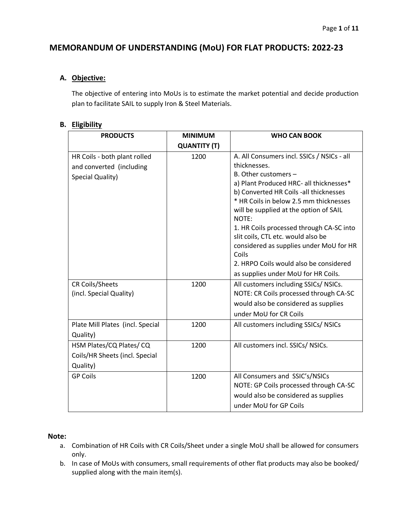# **MEMORANDUM OF UNDERSTANDING (MoU) FOR FLAT PRODUCTS: 2022-23**

## **A. Objective:**

The objective of entering into MoUs is to estimate the market potential and decide production plan to facilitate SAIL to supply Iron & Steel Materials.

## **B. Eligibility**

| <b>PRODUCTS</b>                  | <b>MINIMUM</b>      | <b>WHO CAN BOOK</b>                             |  |
|----------------------------------|---------------------|-------------------------------------------------|--|
|                                  | <b>QUANTITY (T)</b> |                                                 |  |
| HR Coils - both plant rolled     | 1200                | A. All Consumers incl. SSICs / NSICs - all      |  |
| and converted (including         |                     | thicknesses.                                    |  |
| Special Quality)                 |                     | B. Other customers -                            |  |
|                                  |                     | a) Plant Produced HRC- all thicknesses*         |  |
|                                  |                     | b) Converted HR Coils -all thicknesses          |  |
|                                  |                     | * HR Coils in below 2.5 mm thicknesses          |  |
|                                  |                     | will be supplied at the option of SAIL<br>NOTE: |  |
|                                  |                     | 1. HR Coils processed through CA-SC into        |  |
|                                  |                     | slit coils, CTL etc. would also be              |  |
|                                  |                     | considered as supplies under MoU for HR         |  |
|                                  |                     | Coils                                           |  |
|                                  |                     | 2. HRPO Coils would also be considered          |  |
|                                  |                     | as supplies under MoU for HR Coils.             |  |
| <b>CR Coils/Sheets</b>           | 1200                | All customers including SSICs/ NSICs.           |  |
| (incl. Special Quality)          |                     | NOTE: CR Coils processed through CA-SC          |  |
|                                  |                     | would also be considered as supplies            |  |
|                                  |                     | under MoU for CR Coils                          |  |
| Plate Mill Plates (incl. Special | 1200                | All customers including SSICs/ NSICs            |  |
| Quality)                         |                     |                                                 |  |
| HSM Plates/CQ Plates/CQ          | 1200                | All customers incl. SSICs/ NSICs.               |  |
| Coils/HR Sheets (incl. Special   |                     |                                                 |  |
| Quality)                         |                     |                                                 |  |
| <b>GP Coils</b>                  | 1200                | All Consumers and SSIC's/NSICs                  |  |
|                                  |                     | NOTE: GP Coils processed through CA-SC          |  |
|                                  |                     | would also be considered as supplies            |  |
|                                  |                     | under MoU for GP Coils                          |  |

## **Note:**

- a. Combination of HR Coils with CR Coils/Sheet under a single MoU shall be allowed for consumers only.
- b. In case of MoUs with consumers, small requirements of other flat products may also be booked/ supplied along with the main item(s).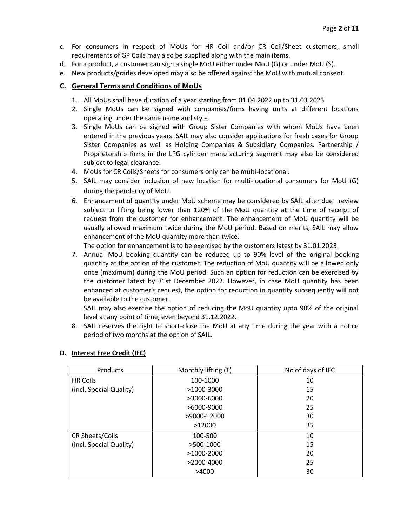- c. For consumers in respect of MoUs for HR Coil and/or CR Coil/Sheet customers, small requirements of GP Coils may also be supplied along with the main items.
- d. For a product, a customer can sign a single MoU either under MoU (G) or under MoU (S).
- e. New products/grades developed may also be offered against the MoU with mutual consent.

## **C. General Terms and Conditions of MoUs**

- 1. All MoUs shall have duration of a year starting from 01.04.2022 up to 31.03.2023.
- 2. Single MoUs can be signed with companies/firms having units at different locations operating under the same name and style.
- 3. Single MoUs can be signed with Group Sister Companies with whom MoUs have been entered in the previous years. SAIL may also consider applications for fresh cases for Group Sister Companies as well as Holding Companies & Subsidiary Companies. Partnership / Proprietorship firms in the LPG cylinder manufacturing segment may also be considered subject to legal clearance.
- 4. MoUs for CR Coils/Sheets for consumers only can be multi-locational.
- 5. SAIL may consider inclusion of new location for multi-locational consumers for MoU (G) during the pendency of MoU.
- 6. Enhancement of quantity under MoU scheme may be considered by SAIL after due review subject to lifting being lower than 120% of the MoU quantity at the time of receipt of request from the customer for enhancement. The enhancement of MoU quantity will be usually allowed maximum twice during the MoU period. Based on merits, SAIL may allow enhancement of the MoU quantity more than twice.

The option for enhancement is to be exercised by the customers latest by 31.01.2023.

7. Annual MoU booking quantity can be reduced up to 90% level of the original booking quantity at the option of the customer. The reduction of MoU quantity will be allowed only once (maximum) during the MoU period. Such an option for reduction can be exercised by the customer latest by 31st December 2022. However, in case MoU quantity has been enhanced at customer's request, the option for reduction in quantity subsequently will not be available to the customer.

SAIL may also exercise the option of reducing the MoU quantity upto 90% of the original level at any point of time, even beyond 31.12.2022.

8. SAIL reserves the right to short-close the MoU at any time during the year with a notice period of two months at the option of SAIL.

| Products                | Monthly lifting (T) | No of days of IFC |
|-------------------------|---------------------|-------------------|
| <b>HR Coils</b>         | 100-1000            | 10                |
| (incl. Special Quality) | >1000-3000          | 15                |
|                         | >3000-6000          | 20                |
|                         | >6000-9000          | 25                |
|                         | >9000-12000         | 30                |
|                         | >12000              | 35                |
| CR Sheets/Coils         | 100-500             | 10                |
| (incl. Special Quality) | >500-1000           | 15                |
|                         | >1000-2000          | 20                |
|                         | $>2000-4000$        | 25                |
|                         | >4000               | 30                |

## **D. Interest Free Credit (IFC)**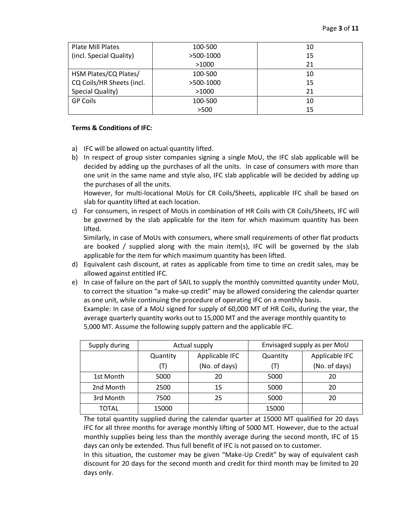| <b>Plate Mill Plates</b>  | 100-500   | 10 |
|---------------------------|-----------|----|
| (incl. Special Quality)   | >500-1000 | 15 |
|                           | >1000     | 21 |
| HSM Plates/CQ Plates/     | 100-500   | 10 |
| CQ Coils/HR Sheets (incl. | >500-1000 | 15 |
| Special Quality)          | >1000     | 21 |
| <b>GP Coils</b>           | 100-500   | 10 |
|                           | >500      | 15 |

#### **Terms & Conditions of IFC:**

- a) IFC will be allowed on actual quantity lifted.
- b) In respect of group sister companies signing a single MoU, the IFC slab applicable will be decided by adding up the purchases of all the units. In case of consumers with more than one unit in the same name and style also, IFC slab applicable will be decided by adding up the purchases of all the units.

However, for multi-locational MoUs for CR Coils/Sheets, applicable IFC shall be based on slab for quantity lifted at each location.

c) For consumers, in respect of MoUs in combination of HR Coils with CR Coils/Sheets, IFC will be governed by the slab applicable for the item for which maximum quantity has been lifted.

Similarly, in case of MoUs with consumers, where small requirements of other flat products are booked / supplied along with the main item(s), IFC will be governed by the slab applicable for the item for which maximum quantity has been lifted.

- d) Equivalent cash discount, at rates as applicable from time to time on credit sales, may be allowed against entitled IFC.
- e) In case of failure on the part of SAIL to supply the monthly committed quantity under MoU, to correct the situation "a make-up credit" may be allowed considering the calendar quarter as one unit, while continuing the procedure of operating IFC on a monthly basis.

Example: In case of a MoU signed for supply of 60,000 MT of HR Coils, during the year, the average quarterly quantity works out to 15,000 MT and the average monthly quantity to 5,000 MT. Assume the following supply pattern and the applicable IFC.

| Supply during | Actual supply              |    | Envisaged supply as per MoU |                |  |
|---------------|----------------------------|----|-----------------------------|----------------|--|
|               | Applicable IFC<br>Quantity |    | Quantity                    | Applicable IFC |  |
|               | (No. of days)<br>(T)       |    | (T)                         | (No. of days)  |  |
| 1st Month     | 5000                       | 20 | 5000                        | 20             |  |
| 2nd Month     | 2500                       | 15 | 5000                        | 20             |  |
| 3rd Month     | 7500                       | 25 | 5000                        | 20             |  |
| <b>TOTAL</b>  | 15000                      |    | 15000                       |                |  |

The total quantity supplied during the calendar quarter at 15000 MT qualified for 20 days IFC for all three months for average monthly lifting of 5000 MT. However, due to the actual monthly supplies being less than the monthly average during the second month, IFC of 15 days can only be extended. Thus full benefit of IFC is not passed on to customer.

In this situation, the customer may be given "Make-Up Credit" by way of equivalent cash discount for 20 days for the second month and credit for third month may be limited to 20 days only.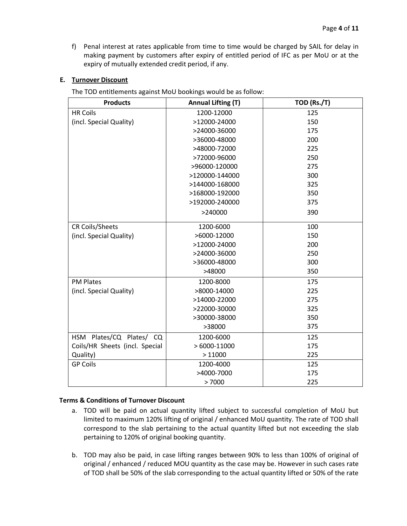f) Penal interest at rates applicable from time to time would be charged by SAIL for delay in making payment by customers after expiry of entitled period of IFC as per MoU or at the expiry of mutually extended credit period, if any.

## **E. Turnover Discount**

The TOD entitlements against MoU bookings would be as follow:

| <b>Products</b>                | <b>Annual Lifting (T)</b> | TOD (Rs./T) |
|--------------------------------|---------------------------|-------------|
| <b>HR Coils</b>                | 1200-12000                | 125         |
| (incl. Special Quality)        | >12000-24000              | 150         |
|                                | >24000-36000              | 175         |
|                                | >36000-48000              | 200         |
|                                | >48000-72000              | 225         |
|                                | >72000-96000              | 250         |
|                                | >96000-120000             | 275         |
|                                | >120000-144000            | 300         |
|                                | >144000-168000            | 325         |
|                                | >168000-192000            | 350         |
|                                | >192000-240000            | 375         |
|                                | >240000                   | 390         |
| <b>CR Coils/Sheets</b>         | 1200-6000                 | 100         |
| (incl. Special Quality)        | >6000-12000               | 150         |
|                                | >12000-24000              | 200         |
|                                | >24000-36000              | 250         |
|                                | >36000-48000              | 300         |
|                                | >48000                    | 350         |
| <b>PM Plates</b>               | 1200-8000                 | 175         |
| (incl. Special Quality)        | >8000-14000               | 225         |
|                                | >14000-22000              | 275         |
|                                | >22000-30000              | 325         |
|                                | >30000-38000              | 350         |
|                                | >38000                    | 375         |
| HSM Plates/CQ Plates/ CQ       | 1200-6000                 | 125         |
| Coils/HR Sheets (incl. Special | $>6000-11000$             | 175         |
| Quality)                       | >11000                    | 225         |
| <b>GP Coils</b>                | 1200-4000                 | 125         |
|                                | >4000-7000                | 175         |
|                                | >7000                     | 225         |

#### **Terms & Conditions of Turnover Discount**

- a. TOD will be paid on actual quantity lifted subject to successful completion of MoU but limited to maximum 120% lifting of original / enhanced MoU quantity. The rate of TOD shall correspond to the slab pertaining to the actual quantity lifted but not exceeding the slab pertaining to 120% of original booking quantity.
- b. TOD may also be paid, in case lifting ranges between 90% to less than 100% of original of original / enhanced / reduced MOU quantity as the case may be. However in such cases rate of TOD shall be 50% of the slab corresponding to the actual quantity lifted or 50% of the rate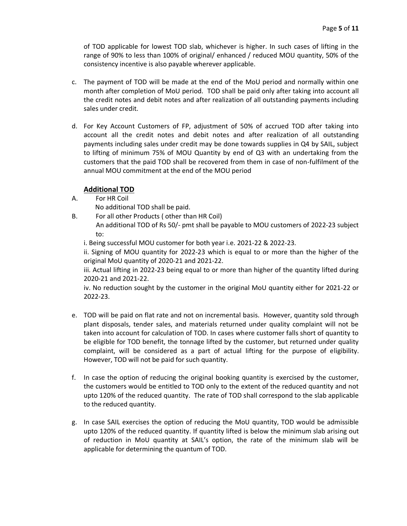of TOD applicable for lowest TOD slab, whichever is higher. In such cases of lifting in the range of 90% to less than 100% of original/ enhanced / reduced MOU quantity, 50% of the consistency incentive is also payable wherever applicable.

- c. The payment of TOD will be made at the end of the MoU period and normally within one month after completion of MoU period. TOD shall be paid only after taking into account all the credit notes and debit notes and after realization of all outstanding payments including sales under credit.
- d. For Key Account Customers of FP, adjustment of 50% of accrued TOD after taking into account all the credit notes and debit notes and after realization of all outstanding payments including sales under credit may be done towards supplies in Q4 by SAIL, subject to lifting of minimum 75% of MOU Quantity by end of Q3 with an undertaking from the customers that the paid TOD shall be recovered from them in case of non-fulfilment of the annual MOU commitment at the end of the MOU period

## **Additional TOD**

- A. For HR Coil
	- No additional TOD shall be paid.
- B. For all other Products ( other than HR Coil)
	- An additional TOD of Rs 50/- pmt shall be payable to MOU customers of 2022-23 subject to:
	- i. Being successful MOU customer for both year i.e. 2021-22 & 2022-23.

ii. Signing of MOU quantity for 2022-23 which is equal to or more than the higher of the original MoU quantity of 2020-21 and 2021-22.

iii. Actual lifting in 2022-23 being equal to or more than higher of the quantity lifted during 2020-21 and 2021-22.

iv. No reduction sought by the customer in the original MoU quantity either for 2021-22 or 2022-23.

- e. TOD will be paid on flat rate and not on incremental basis. However, quantity sold through plant disposals, tender sales, and materials returned under quality complaint will not be taken into account for calculation of TOD. In cases where customer falls short of quantity to be eligible for TOD benefit, the tonnage lifted by the customer, but returned under quality complaint, will be considered as a part of actual lifting for the purpose of eligibility. However, TOD will not be paid for such quantity.
- f. In case the option of reducing the original booking quantity is exercised by the customer, the customers would be entitled to TOD only to the extent of the reduced quantity and not upto 120% of the reduced quantity. The rate of TOD shall correspond to the slab applicable to the reduced quantity.
- g. In case SAIL exercises the option of reducing the MoU quantity, TOD would be admissible upto 120% of the reduced quantity. If quantity lifted is below the minimum slab arising out of reduction in MoU quantity at SAIL's option, the rate of the minimum slab will be applicable for determining the quantum of TOD.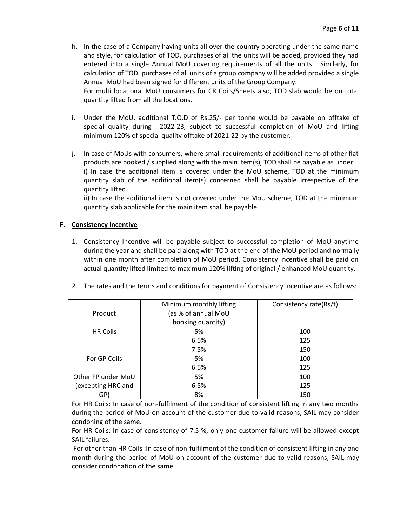h. In the case of a Company having units all over the country operating under the same name and style, for calculation of TOD, purchases of all the units will be added, provided they had entered into a single Annual MoU covering requirements of all the units. Similarly, for calculation of TOD, purchases of all units of a group company will be added provided a single Annual MoU had been signed for different units of the Group Company.

For multi locational MoU consumers for CR Coils/Sheets also, TOD slab would be on total quantity lifted from all the locations.

- i. Under the MoU, additional T.O.D of Rs.25/- per tonne would be payable on offtake of special quality during 2022-23, subject to successful completion of MoU and lifting minimum 120% of special quality offtake of 2021-22 by the customer.
- j. In case of MoUs with consumers, where small requirements of additional items of other flat products are booked / supplied along with the main item(s), TOD shall be payable as under: i) In case the additional item is covered under the MoU scheme, TOD at the minimum quantity slab of the additional item(s) concerned shall be payable irrespective of the quantity lifted.

ii) In case the additional item is not covered under the MoU scheme, TOD at the minimum quantity slab applicable for the main item shall be payable.

## **F. Consistency Incentive**

1. Consistency Incentive will be payable subject to successful completion of MoU anytime during the year and shall be paid along with TOD at the end of the MoU period and normally within one month after completion of MoU period. Consistency Incentive shall be paid on actual quantity lifted limited to maximum 120% lifting of original / enhanced MoU quantity.

| Product            | Minimum monthly lifting<br>(as % of annual MoU<br>booking quantity) | Consistency rate(Rs/t) |
|--------------------|---------------------------------------------------------------------|------------------------|
| <b>HR Coils</b>    | 5%                                                                  | 100                    |
|                    | 6.5%                                                                | 125                    |
|                    | 7.5%                                                                | 150                    |
| For GP Coils       | 5%                                                                  | 100                    |
|                    | 6.5%                                                                | 125                    |
| Other FP under MoU | 5%                                                                  | 100                    |
| (excepting HRC and | 6.5%                                                                | 125                    |
| GP)                | 8%                                                                  | 150                    |

2. The rates and the terms and conditions for payment of Consistency Incentive are as follows:

For HR Coils: In case of non-fulfilment of the condition of consistent lifting in any two months during the period of MoU on account of the customer due to valid reasons, SAIL may consider condoning of the same.

For HR Coils: In case of consistency of 7.5 %, only one customer failure will be allowed except SAIL failures.

For other than HR Coils :In case of non-fulfilment of the condition of consistent lifting in any one month during the period of MoU on account of the customer due to valid reasons, SAIL may consider condonation of the same.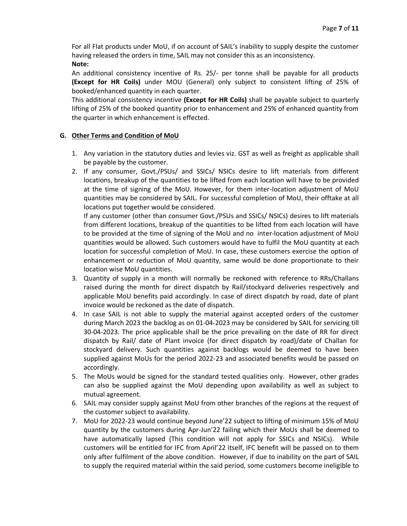For all Flat products under MoU, if on account of SAIL's inability to supply despite the customer having released the orders in time, SAIL may not consider this as an inconsistency. **Note:**

An additional consistency incentive of Rs. 25/- per tonne shall be payable for all products **(Except for HR Coils)** under MOU (General) only subject to consistent lifting of 25% of booked/enhanced quantity in each quarter.

This additional consistency incentive **(Except for HR Coils)** shall be payable subject to quarterly lifting of 25% of the booked quantity prior to enhancement and 25% of enhanced quantity from the quarter in which enhancement is effected.

## **G. Other Terms and Condition of MoU**

- 1. Any variation in the statutory duties and levies viz. GST as well as freight as applicable shall be payable by the customer.
- 2. If any consumer, Govt./PSUs/ and SSICs/ NSICs desire to lift materials from different locations, breakup of the quantities to be lifted from each location will have to be provided at the time of signing of the MoU. However, for them inter-location adjustment of MoU quantities may be considered by SAIL. For successful completion of MoU, their offtake at all locations put together would be considered.

If any customer (other than consumer Govt./PSUs and SSICs/ NSICs) desires to lift materials from different locations, breakup of the quantities to be lifted from each location will have to be provided at the time of signing of the MoU and no inter-location adjustment of MoU quantities would be allowed. Such customers would have to fulfil the MoU quantity at each location for successful completion of MoU. In case, these customers exercise the option of enhancement or reduction of MoU quantity, same would be done proportionate to their location wise MoU quantities.

- 3. Quantity of supply in a month will normally be reckoned with reference to RRs/Challans raised during the month for direct dispatch by Rail/stockyard deliveries respectively and applicable MoU benefits paid accordingly. In case of direct dispatch by road, date of plant invoice would be reckoned as the date of dispatch.
- 4. In case SAIL is not able to supply the material against accepted orders of the customer during March 2023 the backlog as on 01-04-2023 may be considered by SAIL for servicing till 30-04-2023. The price applicable shall be the price prevailing on the date of RR for direct dispatch by Rail/ date of Plant invoice (for direct dispatch by road)/date of Challan for stockyard delivery. Such quantities against backlogs would be deemed to have been supplied against MoUs for the period 2022-23 and associated benefits would be passed on accordingly.
- 5. The MoUs would be signed for the standard tested qualities only. However, other grades can also be supplied against the MoU depending upon availability as well as subject to mutual agreement.
- 6. SAIL may consider supply against MoU from other branches of the regions at the request of the customer subject to availability.
- 7. MoU for 2022-23 would continue beyond June'22 subject to lifting of minimum 15% of MoU quantity by the customers during Apr-Jun'22 failing which their MoUs shall be deemed to have automatically lapsed (This condition will not apply for SSICs and NSICs). While customers will be entitled for IFC from April'22 itself, IFC benefit will be passed on to them only after fulfilment of the above condition. However, if due to inability on the part of SAIL to supply the required material within the said period, some customers become ineligible to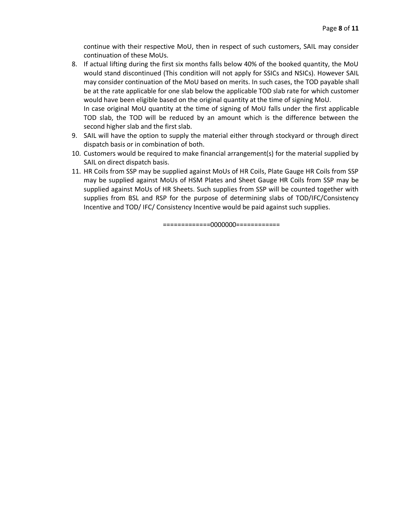continue with their respective MoU, then in respect of such customers, SAIL may consider continuation of these MoUs.

- 8. If actual lifting during the first six months falls below 40% of the booked quantity, the MoU would stand discontinued (This condition will not apply for SSICs and NSICs). However SAIL may consider continuation of the MoU based on merits. In such cases, the TOD payable shall be at the rate applicable for one slab below the applicable TOD slab rate for which customer would have been eligible based on the original quantity at the time of signing MoU. In case original MoU quantity at the time of signing of MoU falls under the first applicable TOD slab, the TOD will be reduced by an amount which is the difference between the
- second higher slab and the first slab. 9. SAIL will have the option to supply the material either through stockyard or through direct dispatch basis or in combination of both.
- 10. Customers would be required to make financial arrangement(s) for the material supplied by SAIL on direct dispatch basis.
- 11. HR Coils from SSP may be supplied against MoUs of HR Coils, Plate Gauge HR Coils from SSP may be supplied against MoUs of HSM Plates and Sheet Gauge HR Coils from SSP may be supplied against MoUs of HR Sheets. Such supplies from SSP will be counted together with supplies from BSL and RSP for the purpose of determining slabs of TOD/IFC/Consistency Incentive and TOD/ IFC/ Consistency Incentive would be paid against such supplies.

=============0000000============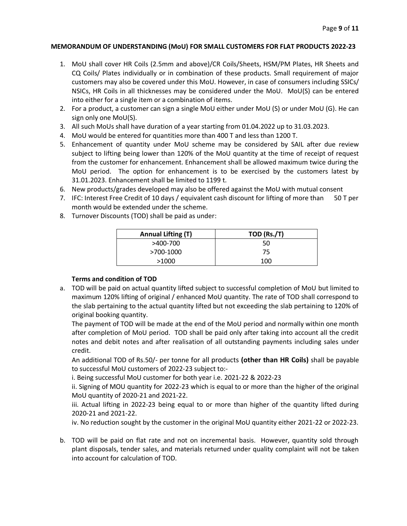#### **MEMORANDUM OF UNDERSTANDING (MoU) FOR SMALL CUSTOMERS FOR FLAT PRODUCTS 2022-23**

- 1. MoU shall cover HR Coils (2.5mm and above)/CR Coils/Sheets, HSM/PM Plates, HR Sheets and CQ Coils/ Plates individually or in combination of these products. Small requirement of major customers may also be covered under this MoU. However, in case of consumers including SSICs/ NSICs, HR Coils in all thicknesses may be considered under the MoU. MoU(S) can be entered into either for a single item or a combination of items.
- 2. For a product, a customer can sign a single MoU either under MoU (S) or under MoU (G). He can sign only one MoU(S).
- 3. All such MoUs shall have duration of a year starting from 01.04.2022 up to 31.03.2023.
- 4. MoU would be entered for quantities more than 400 T and less than 1200 T.
- 5. Enhancement of quantity under MoU scheme may be considered by SAIL after due review subject to lifting being lower than 120% of the MoU quantity at the time of receipt of request from the customer for enhancement. Enhancement shall be allowed maximum twice during the MoU period. The option for enhancement is to be exercised by the customers latest by 31.01.2023. Enhancement shall be limited to 1199 t.
- 6. New products/grades developed may also be offered against the MoU with mutual consent
- 7. IFC: Interest Free Credit of 10 days / equivalent cash discount for lifting of more than 50 T per month would be extended under the scheme.
- 8. Turnover Discounts (TOD) shall be paid as under:

| <b>Annual Lifting (T)</b> | TOD (Rs./T) |  |  |
|---------------------------|-------------|--|--|
| >400-700                  | 50          |  |  |
| >700-1000                 | 75          |  |  |
| >1000                     | 100         |  |  |

## **Terms and condition of TOD**

a. TOD will be paid on actual quantity lifted subject to successful completion of MoU but limited to maximum 120% lifting of original / enhanced MoU quantity. The rate of TOD shall correspond to the slab pertaining to the actual quantity lifted but not exceeding the slab pertaining to 120% of original booking quantity.

The payment of TOD will be made at the end of the MoU period and normally within one month after completion of MoU period. TOD shall be paid only after taking into account all the credit notes and debit notes and after realisation of all outstanding payments including sales under credit.

An additional TOD of Rs.50/- per tonne for all products **(other than HR Coils)** shall be payable to successful MoU customers of 2022-23 subject to:-

i. Being successful MoU customer for both year i.e. 2021-22 & 2022-23

ii. Signing of MOU quantity for 2022-23 which is equal to or more than the higher of the original MoU quantity of 2020-21 and 2021-22.

iii. Actual lifting in 2022-23 being equal to or more than higher of the quantity lifted during 2020-21 and 2021-22.

iv. No reduction sought by the customer in the original MoU quantity either 2021-22 or 2022-23.

b. TOD will be paid on flat rate and not on incremental basis. However, quantity sold through plant disposals, tender sales, and materials returned under quality complaint will not be taken into account for calculation of TOD.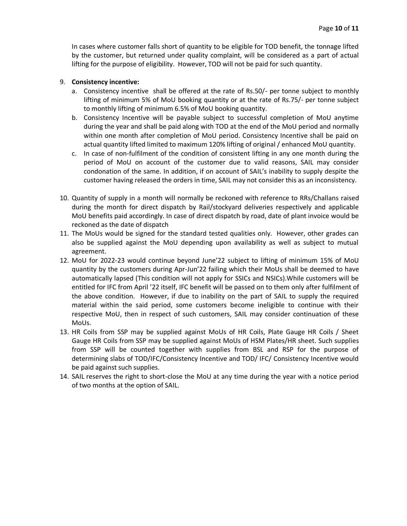In cases where customer falls short of quantity to be eligible for TOD benefit, the tonnage lifted by the customer, but returned under quality complaint, will be considered as a part of actual lifting for the purpose of eligibility. However, TOD will not be paid for such quantity.

#### 9. **Consistency incentive:**

- a. Consistency incentive shall be offered at the rate of Rs.50/- per tonne subject to monthly lifting of minimum 5% of MoU booking quantity or at the rate of Rs.75/- per tonne subject to monthly lifting of minimum 6.5% of MoU booking quantity.
- b. Consistency Incentive will be payable subject to successful completion of MoU anytime during the year and shall be paid along with TOD at the end of the MoU period and normally within one month after completion of MoU period. Consistency Incentive shall be paid on actual quantity lifted limited to maximum 120% lifting of original / enhanced MoU quantity.
- c. In case of non-fulfilment of the condition of consistent lifting in any one month during the period of MoU on account of the customer due to valid reasons, SAIL may consider condonation of the same. In addition, if on account of SAIL's inability to supply despite the customer having released the orders in time, SAIL may not consider this as an inconsistency.
- 10. Quantity of supply in a month will normally be reckoned with reference to RRs/Challans raised during the month for direct dispatch by Rail/stockyard deliveries respectively and applicable MoU benefits paid accordingly. In case of direct dispatch by road, date of plant invoice would be reckoned as the date of dispatch
- 11. The MoUs would be signed for the standard tested qualities only. However, other grades can also be supplied against the MoU depending upon availability as well as subject to mutual agreement.
- 12. MoU for 2022-23 would continue beyond June'22 subject to lifting of minimum 15% of MoU quantity by the customers during Apr-Jun'22 failing which their MoUs shall be deemed to have automatically lapsed (This condition will not apply for SSICs and NSICs).While customers will be entitled for IFC from April '22 itself, IFC benefit will be passed on to them only after fulfilment of the above condition. However, if due to inability on the part of SAIL to supply the required material within the said period, some customers become ineligible to continue with their respective MoU, then in respect of such customers, SAIL may consider continuation of these MoUs.
- 13. HR Coils from SSP may be supplied against MoUs of HR Coils, Plate Gauge HR Coils / Sheet Gauge HR Coils from SSP may be supplied against MoUs of HSM Plates/HR sheet. Such supplies from SSP will be counted together with supplies from BSL and RSP for the purpose of determining slabs of TOD/IFC/Consistency Incentive and TOD/ IFC/ Consistency Incentive would be paid against such supplies.
- 14. SAIL reserves the right to short-close the MoU at any time during the year with a notice period of two months at the option of SAIL.